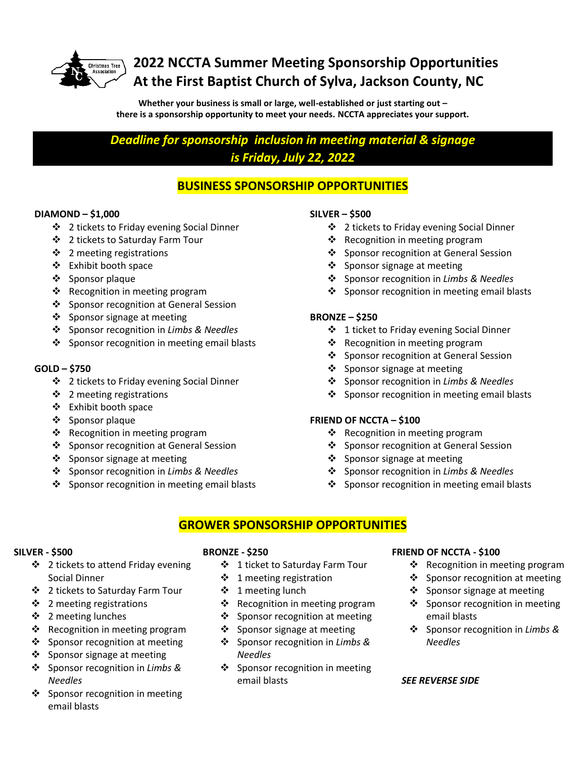

## **2022 NCCTA Summer Meeting Sponsorship Opportunities At the First Baptist Church of Sylva, Jackson County, NC**

**Whether your business is small or large, well-established or just starting out – there is a sponsorship opportunity to meet your needs. NCCTA appreciates your support.**

*Deadline for sponsorship inclusion in meeting material & signage is Friday, July 22, 2022*

### **BUSINESS SPONSORSHIP OPPORTUNITIES**

### **DIAMOND – \$1,000**

- ❖ 2 tickets to Friday evening Social Dinner
- ❖ 2 tickets to Saturday Farm Tour
- ❖ 2 meeting registrations
- Exhibit booth space
- ❖ Sponsor plaque
- $\triangleleft$  Recognition in meeting program
- ❖ Sponsor recognition at General Session
- ❖ Sponsor signage at meeting
- Sponsor recognition in *Limbs & Needles*
- ❖ Sponsor recognition in meeting email blasts

### **GOLD – \$750**

- ❖ 2 tickets to Friday evening Social Dinner
- $\div$  2 meeting registrations
- Exhibit booth space
- ❖ Sponsor plaque
- $\triangleleft$  Recognition in meeting program
- ❖ Sponsor recognition at General Session
- ❖ Sponsor signage at meeting
- Sponsor recognition in *Limbs & Needles*
- ❖ Sponsor recognition in meeting email blasts

### **SILVER – \$500**

- 2 tickets to Friday evening Social Dinner
- $\triangleleft$  Recognition in meeting program
- ❖ Sponsor recognition at General Session
- ❖ Sponsor signage at meeting
- Sponsor recognition in *Limbs & Needles*
- $\div$  Sponsor recognition in meeting email blasts

### **BRONZE – \$250**

- 1 ticket to Friday evening Social Dinner
- ❖ Recognition in meeting program
- ❖ Sponsor recognition at General Session
- ❖ Sponsor signage at meeting
- Sponsor recognition in *Limbs & Needles*
- $\div$  Sponsor recognition in meeting email blasts

### **FRIEND OF NCCTA – \$100**

- $\triangleleft$  Recognition in meeting program
- ❖ Sponsor recognition at General Session
- $\div$  Sponsor signage at meeting
- Sponsor recognition in *Limbs & Needles*
- ❖ Sponsor recognition in meeting email blasts

### **GROWER SPONSORSHIP OPPORTUNITIES**

#### **SILVER - \$500**

- ❖ 2 tickets to attend Friday evening Social Dinner
- 2 tickets to Saturday Farm Tour
- $\cdot$  2 meeting registrations
- ❖ 2 meeting lunches
- $\triangle$  Recognition in meeting program
- ❖ Sponsor recognition at meeting
- ❖ Sponsor signage at meeting
- Sponsor recognition in *Limbs & Needles*
- ❖ Sponsor recognition in meeting email blasts

### **BRONZE - \$250**

- 1 ticket to Saturday Farm Tour
- $\div$  1 meeting registration
- $\div$  1 meeting lunch
- $\triangleleft$  Recognition in meeting program
- 
- 
- Sponsor recognition in *Limbs & Needles*
- ❖ Sponsor recognition in meeting email blasts

### **FRIEND OF NCCTA - \$100**

- ❖ Recognition in meeting program
- ❖ Sponsor recognition at meeting
- Sponsor signage at meeting
- $\cdot$  Sponsor recognition in meeting email blasts
- Sponsor recognition in *Limbs & Needles*

#### *SEE REVERSE SIDE*

- 
- 
- 
- 
- ❖ Sponsor recognition at meeting
- ❖ Sponsor signage at meeting
-